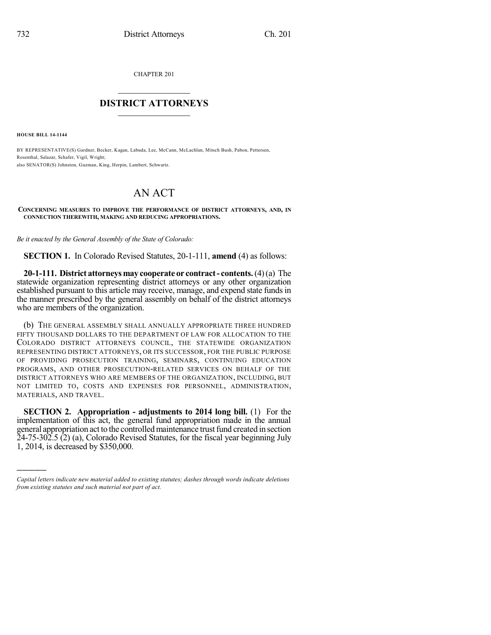CHAPTER 201

## $\mathcal{L}_\text{max}$  . The set of the set of the set of the set of the set of the set of the set of the set of the set of the set of the set of the set of the set of the set of the set of the set of the set of the set of the set **DISTRICT ATTORNEYS**  $\_$   $\_$   $\_$   $\_$   $\_$   $\_$   $\_$   $\_$

**HOUSE BILL 14-1144**

)))))

BY REPRESENTATIVE(S) Gardner, Becker, Kagan, Labuda, Lee, McCann, McLachlan, Mitsch Bush, Pabon, Pettersen, Rosenthal, Salazar, Schafer, Vigil, Wright; also SENATOR(S) Johnston, Guzman, King, Herpin, Lambert, Schwartz.

## AN ACT

## **CONCERNING MEASURES TO IMPROVE THE PERFORMANCE OF DISTRICT ATTORNEYS, AND, IN CONNECTION THEREWITH, MAKING AND REDUCING APPROPRIATIONS.**

*Be it enacted by the General Assembly of the State of Colorado:*

**SECTION 1.** In Colorado Revised Statutes, 20-1-111, **amend** (4) as follows:

**20-1-111. District attorneysmay cooperate or contract- contents.**(4)(a) The statewide organization representing district attorneys or any other organization established pursuant to this article may receive, manage, and expend state funds in the manner prescribed by the general assembly on behalf of the district attorneys who are members of the organization.

(b) THE GENERAL ASSEMBLY SHALL ANNUALLY APPROPRIATE THREE HUNDRED FIFTY THOUSAND DOLLARS TO THE DEPARTMENT OF LAW FOR ALLOCATION TO THE COLORADO DISTRICT ATTORNEYS COUNCIL, THE STATEWIDE ORGANIZATION REPRESENTING DISTRICT ATTORNEYS, OR ITS SUCCESSOR, FOR THE PUBLIC PURPOSE OF PROVIDING PROSECUTION TRAINING, SEMINARS, CONTINUING EDUCATION PROGRAMS, AND OTHER PROSECUTION-RELATED SERVICES ON BEHALF OF THE DISTRICT ATTORNEYS WHO ARE MEMBERS OF THE ORGANIZATION, INCLUDING, BUT NOT LIMITED TO, COSTS AND EXPENSES FOR PERSONNEL, ADMINISTRATION, MATERIALS, AND TRAVEL.

**SECTION 2. Appropriation - adjustments to 2014 long bill.** (1) For the implementation of this act, the general fund appropriation made in the annual general appropriation act to the controlled maintenance trust fund created in section 24-75-302.5 (2) (a), Colorado Revised Statutes, for the fiscal year beginning July 1, 2014, is decreased by \$350,000.

*Capital letters indicate new material added to existing statutes; dashes through words indicate deletions from existing statutes and such material not part of act.*